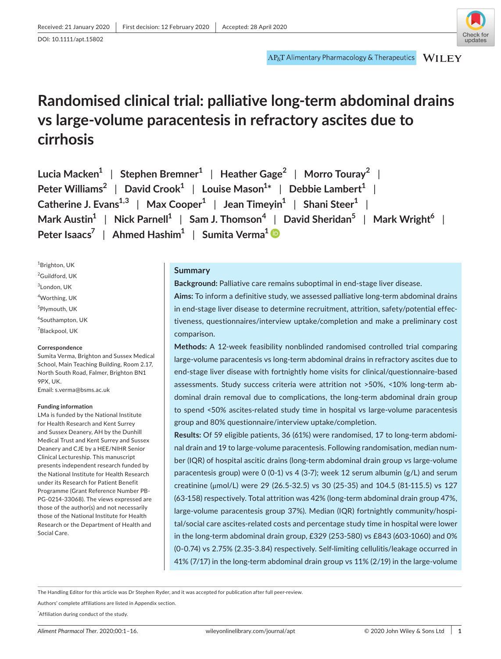# **Randomised clinical trial: palliative long-term abdominal drains vs large-volume paracentesis in refractory ascites due to cirrhosis**

| Lucia Macken <sup>1</sup>   Stephen Bremner <sup>1</sup>   Heather Gage <sup>2</sup>   Morro Touray <sup>2</sup>                            |
|---------------------------------------------------------------------------------------------------------------------------------------------|
| Peter Williams <sup>2</sup>   David Crook <sup>1</sup>   Louise Mason <sup>1*</sup>   Debbie Lambert <sup>1</sup>                           |
| Catherine J. Evans <sup>1,3</sup>   Max Cooper <sup>1</sup>   Jean Timeyin <sup>1</sup>   Shani Steer <sup>1</sup>                          |
| Mark Austin <sup>1</sup>   Nick Parnell <sup>1</sup>   Sam J. Thomson <sup>4</sup>   David Sheridan <sup>5</sup>   Mark Wright <sup>6</sup> |
| Peter Isaacs <sup>7</sup>   Ahmed Hashim <sup>1</sup>   Sumita Verma <sup>1</sup>                                                           |

1 Brighton, UK <sup>2</sup>Guildford, UK  ${}^{3}$ London, UK 4 Worthing, UK 5 Plymouth, UK 6 Southampton, UK  $\mathrm{^{7}}$ Blackpool, UK

#### **Correspondence**

Sumita Verma, Brighton and Sussex Medical School, Main Teaching Building, Room 2.17, North South Road, Falmer, Brighton BN1 9PX, UK. Email: [s.verma@bsms.ac.uk](mailto:s.verma@bsms.ac.uk)

#### **Funding information**

 Clinical Lectureship. This manuscript LMa is funded by the National Institute for Health Research and Kent Surrey and Sussex Deanery, AH by the Dunhill Medical Trust and Kent Surrey and Sussex Deanery and CJE by a HEE/NIHR Senior presents independent research funded by the National Institute for Health Research under its Research for Patient Benefit Programme (Grant Reference Number PB-PG-0214-33068). The views expressed are those of the author(s) and not necessarily those of the National Institute for Health Research or the Department of Health and Social Care.

## **Summary**

**Background:** Palliative care remains suboptimal in end-stage liver disease.

**Aims:** To inform a definitive study, we assessed palliative long-term abdominal drains in end-stage liver disease to determine recruitment, attrition, safety/potential effectiveness, questionnaires/interview uptake/completion and make a preliminary cost comparison.

**Methods:** A 12-week feasibility nonblinded randomised controlled trial comparing large-volume paracentesis vs long-term abdominal drains in refractory ascites due to end-stage liver disease with fortnightly home visits for clinical/questionnaire-based assessments. Study success criteria were attrition not >50%, <10% long-term abdominal drain removal due to complications, the long-term abdominal drain group to spend <50% ascites-related study time in hospital vs large-volume paracentesis group and 80% questionnaire/interview uptake/completion.

**Results:** Of 59 eligible patients, 36 (61%) were randomised, 17 to long-term abdominal drain and 19 to large-volume paracentesis. Following randomisation, median number (IQR) of hospital ascitic drains (long-term abdominal drain group vs large-volume paracentesis group) were 0 (0-1) vs 4 (3-7); week 12 serum albumin (g/L) and serum creatinine (μmol/L) were 29 (26.5-32.5) vs 30 (25-35) and 104.5 (81-115.5) vs 127 (63-158) respectively. Total attrition was 42% (long-term abdominal drain group 47%, large-volume paracentesis group 37%). Median (IQR) fortnightly community/hospital/social care ascites-related costs and percentage study time in hospital were lower in the long-term abdominal drain group, £329 (253-580) vs £843 (603-1060) and 0% (0-0.74) vs 2.75% (2.35-3.84) respectively. Self-limiting cellulitis/leakage occurred in 41% (7/17) in the long-term abdominal drain group vs 11% (2/19) in the large-volume

The Handling Editor for this article was Dr Stephen Ryder, and it was accepted for publication after full peer-review.

Authors' complete affiliations are listed in Appendix section.

\* Affiliation during conduct of the study.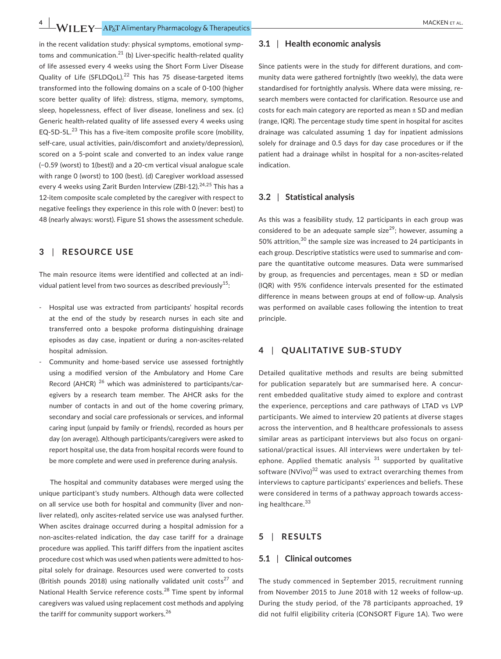**4 WII FY** - AP<sub>N</sub>T Alimentary Pharmacology & Therapeutics - Alternation and the control of the MACKEN ET AL.

toms and [communication.](https://communication.21)<sup>21</sup> (b) Liver-specific health-related quality sleep, hopelessness, effect of liver disease, loneliness and sex. (c) self-care, usual activities, pain/discomfort and anxiety/depression), in the recent validation study: physical symptoms, emotional sympof life assessed every 4 weeks using the Short Form Liver Disease Quality of Life ([SFLDQoL\).](https://SFLDQoL).22)22 This has 75 disease-targeted items transformed into the following domains on a scale of 0-100 (higher score better quality of life): distress, stigma, memory, symptoms, Generic health-related quality of life assessed every 4 weeks using [EQ-5D-5L.](https://EQ-5D-5L.23) $^{23}$  This has a five-item composite profile score (mobility, scored on a 5-point scale and converted to an index value range (−0.59 (worst) to 1(best)) and a 20-cm vertical visual analogue scale with range 0 (worst) to 100 (best). (d) Caregiver workload assessed every 4 weeks using Zarit Burden Interview (ZBI-12).<sup>24,25</sup> This has a 12-item composite scale completed by the caregiver with respect to negative feelings they experience in this role with 0 (never: best) to 48 (nearly always: worst). Figure S1 shows the assessment schedule.

# **3**  | **RESOURCE USE**

The main resource items were identified and collected at an individual patient level from two sources as described previously<sup>15</sup>:

- transferred onto a bespoke proforma distinguishing drainage Hospital use was extracted from participants' hospital records at the end of the study by research nurses in each site and episodes as day case, inpatient or during a non-ascites-related hospital admission.
- - Community and home-based service use assessed fortnightly Record (AHCR)  $^{26}$  which was administered to participants/carusing a modified version of the Ambulatory and Home Care egivers by a research team member. The AHCR asks for the number of contacts in and out of the home covering primary, secondary and social care professionals or services, and informal caring input (unpaid by family or friends), recorded as hours per day (on average). Although participants/caregivers were asked to report hospital use, the data from hospital records were found to be more complete and were used in preference during analysis.

 liver related), only ascites-related service use was analysed further. The hospital and community databases were merged using the unique participant's study numbers. Although data were collected on all service use both for hospital and community (liver and non-When ascites drainage occurred during a hospital admission for a non-ascites-related indication, the day case tariff for a drainage procedure was applied. This tariff differs from the inpatient ascites procedure cost which was used when patients were admitted to hospital solely for drainage. Resources used were converted to costs (British pounds 2018) using nationally validated unit costs<sup>27</sup> and National Health Service reference [costs.](https://costs.28)<sup>28</sup> Time spent by informal caregivers was valued using replacement cost methods and applying the tariff for community support [workers.](https://workers.26)<sup>26</sup>

## **3.1** | **Health economic analysis**

 costs for each main category are reported as mean ± SD and median Since patients were in the study for different durations, and community data were gathered fortnightly (two weekly), the data were standardised for fortnightly analysis. Where data were missing, research members were contacted for clarification. Resource use and (range, IQR). The percentage study time spent in hospital for ascites drainage was calculated assuming 1 day for inpatient admissions solely for drainage and 0.5 days for day case procedures or if the patient had a drainage whilst in hospital for a non-ascites-related indication.

## **3.2** | **Statistical analysis**

 by group, as frequencies and percentages, mean ± SD or median As this was a feasibility study, 12 participants in each group was considered to be an adequate sample size<sup>29</sup>; however, assuming a 50% attrition, $30$  the sample size was increased to 24 participants in each group. Descriptive statistics were used to summarise and compare the quantitative outcome measures. Data were summarised (IQR) with 95% confidence intervals presented for the estimated difference in means between groups at end of follow-up. Analysis was performed on available cases following the intention to treat principle.

# **4**  | **QUALITATIVE SUB-STUDY**

 Detailed qualitative methods and results are being submitted similar areas as participant interviews but also focus on organiephone. Applied thematic analysis <sup>31</sup> supported by qualitative for publication separately but are summarised here. A concurrent embedded qualitative study aimed to explore and contrast the experience, perceptions and care pathways of LTAD vs LVP participants. We aimed to interview 20 patients at diverse stages across the intervention, and 8 healthcare professionals to assess sational/practical issues. All interviews were undertaken by telsoftware  $(NVivo)^{32}$  was used to extract overarching themes from interviews to capture participants' experiences and beliefs. These were considered in terms of a pathway approach towards accessing [healthcare.](https://healthcare.33)<sup>33</sup>

# **5**  | **RESULTS**

## **5.1** | **Clinical outcomes**

 The study commenced in September 2015, recruitment running from November 2015 to June 2018 with 12 weeks of follow-up. During the study period, of the 78 participants approached, 19 did not fulfil eligibility criteria (CONSORT Figure 1A). Two were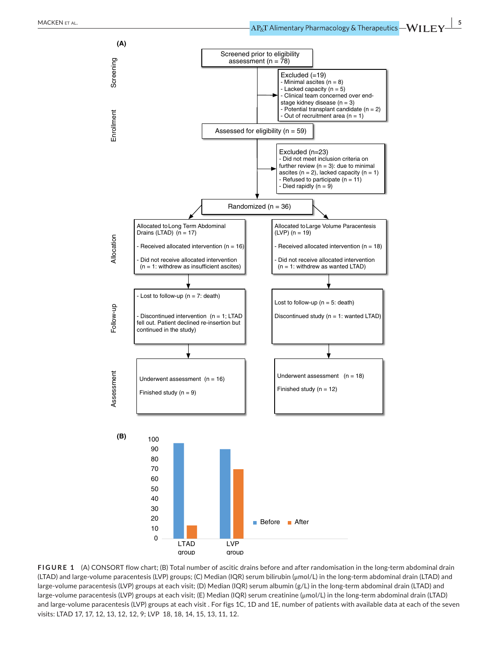

**FIGURE 1** (A) CONSORT flow chart; (B) Total number of ascitic drains before and after randomisation in the long-term abdominal drain (LTAD) and large-volume paracentesis (LVP) groups; (C) Median (IQR) serum bilirubin (μmol/L) in the long-term abdominal drain (LTAD) and large-volume paracentesis (LVP) groups at each visit; (D) Median (IQR) serum albumin (g/L) in the long-term abdominal drain (LTAD) and large-volume paracentesis (LVP) groups at each visit; (E) Median (IQR) serum creatinine (μmol/L) in the long-term abdominal drain (LTAD) and large-volume paracentesis (LVP) groups at each visit . For figs 1C, 1D and 1E, number of patients with available data at each of the seven visits: LTAD 17, 17, 12, 13, 12, 12, 9; LVP 18, 18, 14, 15, 13, 11, 12.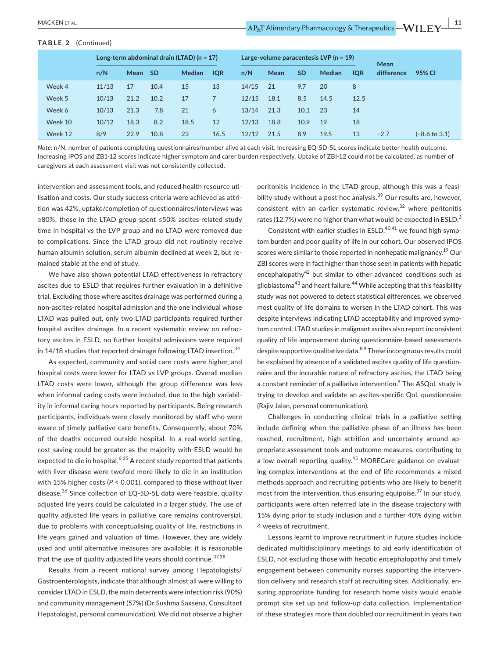#### **TABLE 2** (Continued)

|         |       |      |           | Long-term abdominal drain (LTAD) $(n = 17)$ |            |       | Large-volume paracentesis LVP ( $n = 19$ ) |           | Mean          |            |            |                          |
|---------|-------|------|-----------|---------------------------------------------|------------|-------|--------------------------------------------|-----------|---------------|------------|------------|--------------------------|
|         | n/N   | Mean | <b>SD</b> | <b>Median</b>                               | <b>IOR</b> | n/N   | Mean                                       | <b>SD</b> | <b>Median</b> | <b>IQR</b> | difference | 95% CI                   |
| Week 4  | 11/13 | 17   | 10.4      | 15                                          | 13         | 14/15 | 21                                         | 9.7       | 20            | 8          |            |                          |
| Week 5  | 10/13 | 21.2 | 10.2      | 17                                          |            | 12/15 | 18.1                                       | 8.5       | 14.5          | 12.5       |            |                          |
| Week 6  | 10/13 | 21.3 | 7.8       | 21                                          | 6          | 13/14 | 21.3                                       | 10.1      | 23            | 14         |            |                          |
| Week 10 | 10/12 | 18.3 | 8.2       | 18.5                                        | 12         | 12/13 | 18.8                                       | 10.9      | 19            | 18         |            |                          |
| Week 12 | 8/9   | 22.9 | 10.8      | 23                                          | 16.5       | 12/12 | 21.5                                       | 8.9       | 19.5          | 13         | $-2.7$     | $(-8.6 \text{ to } 3.1)$ |

*Note:* n/N, number of patients completing questionnaires/number alive at each visit. Increasing EQ-5D-5L scores indicate better health outcome. Increasing IPOS and ZB1-12 scores indicate higher symptom and carer burden respectively. Uptake of ZBI-12 could not be calculated, as number of caregivers at each assessment visit was not consistently collected.

 intervention and assessment tools, and reduced health resource uti- tion was 42%, uptake/completion of questionnaires/interviews was lisation and costs. Our study success criteria were achieved as attri-≥80%, those in the LTAD group spent ≤50% ascites-related study time in hospital vs the LVP group and no LTAD were removed due to complications. Since the LTAD group did not routinely receive human albumin solution, serum albumin declined at week 2, but remained stable at the end of study.

We have also shown potential LTAD effectiveness in refractory ascites due to ESLD that requires further evaluation in a definitive trial. Excluding those where ascites drainage was performed during a non-ascites-related hospital admission and the one individual whose LTAD was pulled out, only two LTAD participants required further hospital ascites drainage. In a recent systematic review on refractory ascites in ESLD, no further hospital admissions were required in  $14/18$  studies that reported drainage following LTAD [insertion.](https://insertion.34)<sup>34</sup>

 ity in informal caring hours reported by participants. Being research participants, individuals were closely monitored by staff who were with 15% higher costs (*P* < 0.001), compared to those without liver life years gained and valuation of time*.* However, they are widely As expected, community and social care costs were higher, and hospital costs were lower for LTAD vs LVP groups. Overall median LTAD costs were lower, although the group difference was less when informal caring costs were included, due to the high variabilaware of timely palliative care benefits. Consequently, about 70% of the deaths occurred outside hospital. In a real-world setting, cost saving could be greater as the majority with ESLD would be expected to die in hospital.<sup>6,35</sup> A recent study reported that patients with liver disease were twofold more likely to die in an institution [disease.](https://disease.36)<sup>36</sup> Since collection of EQ-5D-5L data were feasible, quality adjusted life years could be calculated in a larger study. The use of quality adjusted life years in palliative care remains controversial, due to problems with conceptualising quality of life, restrictions in used and until alternative measures are available; it is reasonable that the use of quality adjusted life years should continue.  $37,38$ 

 and community management (57%) (Dr Sushma Saxsena, Consultant Results from a recent national survey among Hepatologists/ Gastroenterologists, indicate that although almost all were willing to consider LTAD in ESLD, the main deterrents were infection risk (90%) Hepatologist, personal communication). We did not observe a higher

consistent with an earlier systematic review, $32$  where peritonitis peritonitis incidence in the LTAD group, although this was a feasibility study without a post hoc [analysis.](https://analysis.39) $39$  Our results are, however, rates (12.7%) were no higher than what would be expected in  $ESLD<sup>3</sup>$ 

glioblastoma<sup>43</sup> and heart failure.<sup>44</sup> While accepting that this feasibility despite interviews indicating LTAD acceptability and improved symp- quality of life improvement during questionnaire-based assessments despite supportive qualitative data.<sup>8,9</sup> These incongruous results could a constant reminder of a palliative intervention.<sup>9</sup> The ASQoL study is Consistent with earlier studies in  $ESLD<sub>1</sub><sup>40,41</sup>$  we found high symptom burden and poor quality of life in our cohort. Our observed IPOS scores were similar to those reported in nonhepatic [malignancy.](https://malignancy.19)<sup>19</sup> Our ZBI scores were in fact higher than those seen in patients with hepatic encephalopathy<sup>42</sup> but similar to other advanced conditions such as study was not powered to detect statistical differences, we observed most quality of life domains to worsen in the LTAD cohort. This was tom control. LTAD studies in malignant ascites also report inconsistent be explained by absence of a validated ascites quality of life questionnaire and the incurable nature of refractory ascites, the LTAD being trying to develop and validate an ascites-specific QoL questionnaire (Rajiv Jalan, personal communication).

 reached, recruitment, high attrition and uncertainty around apa low overall reporting [quality.](https://quality.45)<sup>45</sup> MORECare guidance on evaluat-Challenges in conducting clinical trials in a palliative setting include defining when the palliative phase of an illness has been propriate assessment tools and outcome measures, contributing to ing complex interventions at the end of life recommends a mixed methods approach and recruiting patients who are likely to benefit most from the intervention, thus ensuring [equipoise.](https://equipoise.37)<sup>37</sup> In our study, participants were often referred late in the disease trajectory with 15% dying prior to study inclusion and a further 40% dying within 4 weeks of recruitment.

 dedicated multidisciplinary meetings to aid early identification of engagement between community nurses supporting the interven- prompt site set up and follow-up data collection. Implementation of these strategies more than doubled our recruitment in years twoLessons learnt to improve recruitment in future studies include ESLD, not excluding those with hepatic encephalopathy and timely tion delivery and research staff at recruiting sites. Additionally, ensuring appropriate funding for research home visits would enable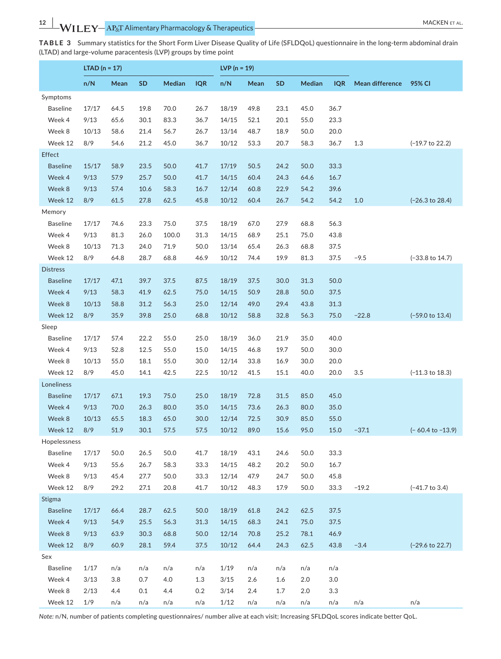| MACKEN FT AL. |  |  |
|---------------|--|--|
|---------------|--|--|

**TABLE 3** Summary statistics for the Short Form Liver Disease Quality of Life (SFLDQoL) questionnaire in the long-term abdominal drain (LTAD) and large-volume paracentesis (LVP) groups by time point

|                           | LTAD ( $n = 17$ ) |              |              |              |              | $LVP(n = 19)$  |              |              |               |            |                 |                             |
|---------------------------|-------------------|--------------|--------------|--------------|--------------|----------------|--------------|--------------|---------------|------------|-----------------|-----------------------------|
|                           | n/N               | Mean         | SD           | Median       | <b>IQR</b>   | n/N            | Mean         | SD           | <b>Median</b> | <b>IQR</b> | Mean difference | 95% CI                      |
| Symptoms                  |                   |              |              |              |              |                |              |              |               |            |                 |                             |
| <b>Baseline</b>           | 17/17             | 64.5         | 19.8         | 70.0         | 26.7         | 18/19          | 49.8         | 23.1         | 45.0          | 36.7       |                 |                             |
| Week 4                    | 9/13              | 65.6         | 30.1         | 83.3         | 36.7         | 14/15          | 52.1         | 20.1         | 55.0          | 23.3       |                 |                             |
| Week 8                    | 10/13             | 58.6         | 21.4         | 56.7         | 26.7         | 13/14          | 48.7         | 18.9         | 50.0          | 20.0       |                 |                             |
| Week 12                   | 8/9               | 54.6         | 21.2         | 45.0         | 36.7         | 10/12          | 53.3         | 20.7         | 58.3          | 36.7       | 1.3             | $(-19.7 \text{ to } 22.2)$  |
| Effect                    |                   |              |              |              |              |                |              |              |               |            |                 |                             |
| <b>Baseline</b>           | 15/17             | 58.9         | 23.5         | 50.0         | 41.7         | 17/19          | 50.5         | 24.2         | 50.0          | 33.3       |                 |                             |
| Week 4                    | 9/13              | 57.9         | 25.7         | 50.0         | 41.7         | 14/15          | 60.4         | 24.3         | 64.6          | 16.7       |                 |                             |
| Week 8                    | 9/13              | 57.4         | 10.6         | 58.3         | 16.7         | 12/14          | 60.8         | 22.9         | 54.2          | 39.6       |                 |                             |
| Week 12                   | 8/9               | 61.5         | 27.8         | 62.5         | 45.8         | 10/12          | 60.4         | 26.7         | 54.2          | 54.2       | 1.0             | $(-26.3 \text{ to } 28.4)$  |
| Memory                    |                   |              |              |              |              |                |              |              |               |            |                 |                             |
| <b>Baseline</b>           | 17/17             | 74.6         | 23.3         | 75.0         | 37.5         | 18/19          | 67.0         | 27.9         | 68.8          | 56.3       |                 |                             |
| Week 4                    | 9/13              | 81.3         | 26.0         | 100.0        | 31.3         | 14/15          | 68.9         | 25.1         | 75.0          | 43.8       |                 |                             |
| Week 8                    | 10/13             | 71.3         | 24.0         | 71.9         | 50.0         | 13/14          | 65.4         | 26.3         | 68.8          | 37.5       |                 |                             |
| Week 12                   | 8/9               | 64.8         | 28.7         | 68.8         | 46.9         | 10/12          | 74.4         | 19.9         | 81.3          | 37.5       | $-9.5$          | $(-33.8 \text{ to } 14.7)$  |
| <b>Distress</b>           |                   |              |              |              |              |                |              |              |               |            |                 |                             |
| <b>Baseline</b>           | 17/17             | 47.1         | 39.7         | 37.5         | 87.5         | 18/19          | 37.5         | 30.0         | 31.3          | 50.0       |                 |                             |
| Week 4                    | 9/13              | 58.3         | 41.9         | 62.5         | 75.0         | 14/15          | 50.9         | 28.8         | 50.0          | 37.5       |                 |                             |
| Week 8                    | 10/13             | 58.8         | 31.2         | 56.3         | 25.0         | 12/14          | 49.0         | 29.4         | 43.8          | 31.3       |                 |                             |
| Week 12                   | 8/9               | 35.9         | 39.8         | 25.0         | 68.8         | 10/12          | 58.8         | 32.8         | 56.3          | 75.0       | $-22.8$         | $(-59.0 \text{ to } 13.4)$  |
| Sleep                     |                   |              |              |              |              |                |              |              |               |            |                 |                             |
| <b>Baseline</b>           | 17/17             | 57.4         | 22.2         | 55.0         | 25.0         | 18/19          | 36.0         | 21.9         | 35.0          | 40.0       |                 |                             |
| Week 4                    | 9/13              | 52.8         | 12.5         | 55.0         | 15.0         | 14/15          | 46.8         | 19.7         | 50.0          | 30.0       |                 |                             |
| Week 8                    | 10/13             | 55.0         | 18.1         | 55.0         | 30.0         | 12/14          | 33.8         | 16.9         | 30.0          | 20.0       |                 |                             |
| Week 12                   | 8/9               | 45.0         | 14.1         | 42.5         | 22.5         | 10/12          | 41.5         | 15.1         | 40.0          | 20.0       | 3.5             | $(-11.3 \text{ to } 18.3)$  |
| Loneliness                |                   |              |              |              |              |                |              |              |               |            |                 |                             |
| <b>Baseline</b>           | 17/17             | 67.1         | 19.3         | 75.0         | 25.0         | 18/19          | 72.8         | 31.5         | 85.0          | 45.0       |                 |                             |
| Week 4                    | 9/13              | 70.0         | 26.3         | 80.0         | 35.0         | 14/15          | 73.6         | 26.3         | 80.0          | 35.0       |                 |                             |
| Week 8                    | 10/13             | 65.5         | 18.3         | 65.0         | 30.0         | 12/14          | 72.5         | 30.9         | 85.0          | 55.0       |                 |                             |
| Week 12                   | 8/9               | 51.9         | 30.1         | 57.5         | 57.5         | 10/12          | 89.0         | 15.6         | 95.0          | 15.0       | $-37.1$         | $(-60.4 \text{ to } -13.9)$ |
| Hopelessness              |                   |              |              |              |              |                |              |              |               |            |                 |                             |
| <b>Baseline</b>           | 17/17             | 50.0         | 26.5         | 50.0         | 41.7         | 18/19          | 43.1         | 24.6         | 50.0          | 33.3       |                 |                             |
| Week 4                    | 9/13              | 55.6         | 26.7         | 58.3         | 33.3         | 14/15          | 48.2         | 20.2         | 50.0          | 16.7       |                 |                             |
| Week 8                    | 9/13              | 45.4         | 27.7         | 50.0         | 33.3         | 12/14          | 47.9         | 24.7         | 50.0          | 45.8       |                 |                             |
| Week 12                   | 8/9               | 29.2         | 27.1         | 20.8         | 41.7         | 10/12          | 48.3         | 17.9         | 50.0          | 33.3       | $-19.2$         | $(-41.7 \text{ to } 3.4)$   |
| Stigma<br><b>Baseline</b> |                   |              |              |              |              |                |              |              |               | 37.5       |                 |                             |
| Week 4                    | 17/17             | 66.4         | 28.7         | 62.5         | 50.0         | 18/19          | 61.8         | 24.2         | 62.5<br>75.0  | 37.5       |                 |                             |
| Week 8                    | 9/13<br>9/13      | 54.9<br>63.9 | 25.5<br>30.3 | 56.3<br>68.8 | 31.3<br>50.0 | 14/15<br>12/14 | 68.3<br>70.8 | 24.1<br>25.2 | 78.1          | 46.9       |                 |                             |
| Week 12                   | 8/9               | 60.9         | 28.1         | 59.4         | 37.5         | 10/12          | 64.4         | 24.3         | 62.5          | 43.8       | $-3.4$          | $(-29.6 \text{ to } 22.7)$  |
| Sex                       |                   |              |              |              |              |                |              |              |               |            |                 |                             |
| <b>Baseline</b>           | 1/17              | n/a          | n/a          | n/a          | n/a          | 1/19           | n/a          | n/a          | n/a           | n/a        |                 |                             |
| Week 4                    | 3/13              | 3.8          | 0.7          | 4.0          | $1.3$        | 3/15           | 2.6          | 1.6          | 2.0           | 3.0        |                 |                             |
| Week 8                    | 2/13              | 4.4          | 0.1          | 4.4          | 0.2          | 3/14           | 2.4          | 1.7          | 2.0           | 3.3        |                 |                             |
| Week 12                   | 1/9               | n/a          | n/a          | n/a          | n/a          | 1/12           | n/a          | n/a          | n/a           | n/a        | n/a             | n/a                         |
|                           |                   |              |              |              |              |                |              |              |               |            |                 |                             |

*Note:* n/N, number of patients completing questionnaires/ number alive at each visit; Increasing SFLDQoL scores indicate better QoL.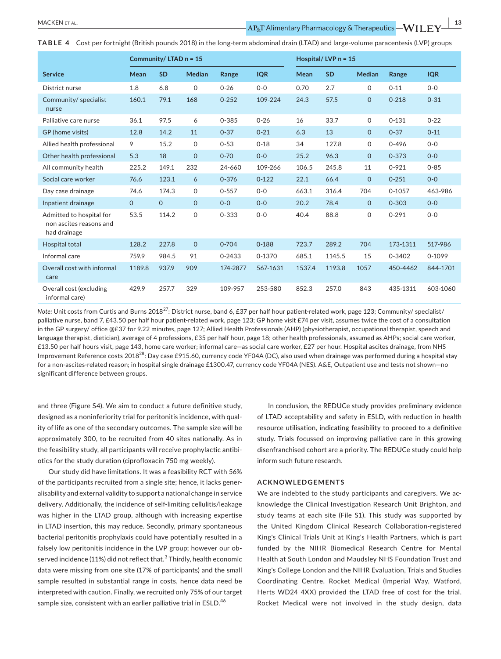**TABLE 4** Cost per fortnight (British pounds 2018) in the long-term abdominal drain (LTAD) and large-volume paracentesis (LVP) groups

|                                                                     | Community/LTAD n = 15 |           |               |           |            | Hospital/LVP $n = 15$ |           |               |            |            |
|---------------------------------------------------------------------|-----------------------|-----------|---------------|-----------|------------|-----------------------|-----------|---------------|------------|------------|
| <b>Service</b>                                                      | Mean                  | <b>SD</b> | <b>Median</b> | Range     | <b>IQR</b> | Mean                  | <b>SD</b> | <b>Median</b> | Range      | <b>IQR</b> |
| District nurse                                                      | 1.8                   | 6.8       | $\Omega$      | $0 - 26$  | $0 - 0$    | 0.70                  | 2.7       | $\Omega$      | $0 - 11$   | $O - O$    |
| Community/ specialist<br>nurse                                      | 160.1                 | 79.1      | 168           | $0 - 252$ | 109-224    | 24.3                  | 57.5      | $\mathbf 0$   | $0 - 218$  | $0 - 31$   |
| Palliative care nurse                                               | 36.1                  | 97.5      | 6             | $0 - 385$ | $0 - 26$   | 16                    | 33.7      | $\mathbf 0$   | $0 - 131$  | $0 - 22$   |
| GP (home visits)                                                    | 12.8                  | 14.2      | 11            | $0 - 37$  | $0 - 21$   | 6.3                   | 13        | $\mathbf{O}$  | $0 - 37$   | $0 - 11$   |
| Allied health professional                                          | 9                     | 15.2      | 0             | $0 - 53$  | $0 - 18$   | 34                    | 127.8     | 0             | $0 - 496$  | $0 - 0$    |
| Other health professional                                           | 5.3                   | 18        | $\mathbf 0$   | $0 - 70$  | $0 - 0$    | 25.2                  | 96.3      | $\mathbf{O}$  | $0 - 373$  | $0 - 0$    |
| All community health                                                | 225.2                 | 149.1     | 232           | 24-660    | 109-266    | 106.5                 | 245.8     | 11            | $0 - 921$  | $0 - 85$   |
| Social care worker                                                  | 76.6                  | 123.1     | 6             | $0 - 376$ | $0 - 122$  | 22.1                  | 66.4      | $\mathbf{O}$  | $0 - 251$  | $0 - 0$    |
| Day case drainage                                                   | 74.6                  | 174.3     | 0             | $0 - 557$ | $0 - 0$    | 663.1                 | 316.4     | 704           | $0 - 1057$ | 463-986    |
| Inpatient drainage                                                  | $\mathbf{O}$          | $\Omega$  | $\mathbf{O}$  | $0 - 0$   | $O - O$    | 20.2                  | 78.4      | $\Omega$      | $0 - 303$  | $0 - 0$    |
| Admitted to hospital for<br>non ascites reasons and<br>had drainage | 53.5                  | 114.2     | $\mathsf{O}$  | $0 - 333$ | $0 - 0$    | 40.4                  | 88.8      | $\mathsf{O}$  | $0 - 291$  | $0 - 0$    |
| Hospital total                                                      | 128.2                 | 227.8     | $\Omega$      | $0 - 704$ | $0 - 188$  | 723.7                 | 289.2     | 704           | 173-1311   | 517-986    |
| Informal care                                                       | 759.9                 | 984.5     | 91            | 0-2433    | 0-1370     | 685.1                 | 1145.5    | 15            | 0-3402     | 0-1099     |
| Overall cost with informal<br>care                                  | 1189.8                | 937.9     | 909           | 174-2877  | 567-1631   | 1537.4                | 1193.8    | 1057          | 450-4462   | 844-1701   |
| Overall cost (excluding<br>informal care)                           | 429.9                 | 257.7     | 329           | 109-957   | 253-580    | 852.3                 | 257.0     | 843           | 435-1311   | 603-1060   |

*Note:* Unit costs from Curtis and Burns 2018<sup>27</sup>: District nurse, band 6, £37 per half hour patient-related work, page 123; Community/ specialist/ palliative nurse, band 7, £43.50 per half hour patient-related work, page 123; GP home visit £74 per visit, assumes twice the cost of a consultation in the GP surgery/ office @£37 for 9.22 minutes, page 127; Allied Health Professionals (AHP) (physiotherapist, occupational therapist, speech and language therapist, dietician), average of 4 professions, £35 per half hour, page 18; other health professionals, assumed as AHPs; social care worker, £13.50 per half hours visit, page 143, home care worker; informal care—as social care worker, £27 per hour. Hospital ascites drainage, from NHS Improvement Reference costs 2018<sup>28</sup>: Day case £915.60, currency code YF04A (DC), also used when drainage was performed during a hospital stay for a non-ascites-related reason; in hospital single drainage £1300.47, currency code YF04A (NES). A&E, Outpatient use and tests not shown—no significant difference between groups.

 the feasibility study, all participants will receive prophylactic antibiand three (Figure S4). We aim to conduct a future definitive study, designed as a noninferiority trial for peritonitis incidence, with quality of life as one of the secondary outcomes. The sample size will be approximately 300, to be recruited from 40 sites nationally. As in otics for the study duration (ciprofloxacin 750 mg weekly).

 delivery. Additionally, the incidence of self-limiting cellulitis/leakage served incidence (11%) did not reflect that. $^3$  Thirdly, health economic Our study did have limitations. It was a feasibility RCT with 56% of the participants recruited from a single site; hence, it lacks generalisability and external validity to support a national change in service was higher in the LTAD group, although with increasing expertise in LTAD insertion, this may reduce. Secondly, primary spontaneous bacterial peritonitis prophylaxis could have potentially resulted in a falsely low peritonitis incidence in the LVP group; however our obdata were missing from one site (17% of participants) and the small sample resulted in substantial range in costs, hence data need be interpreted with caution. Finally, we recruited only 75% of our target sample size, consistent with an earlier palliative trial in ESLD.<sup>46</sup>

 In conclusion, the REDUCe study provides preliminary evidence of LTAD acceptability and safety in ESLD, with reduction in health resource utilisation, indicating feasibility to proceed to a definitive study. Trials focussed on improving palliative care in this growing disenfranchised cohort are a priority. The REDUCe study could help inform such future research.

# **ACKNOWLEDGEMENTS**

 the United Kingdom Clinical Research Collaboration-registered Coordinating Centre. Rocket Medical (Imperial Way, Watford, We are indebted to the study participants and caregivers. We acknowledge the Clinical Investigation Research Unit Brighton, and study teams at each site (File S1). This study was supported by King's Clinical Trials Unit at King's Health Partners, which is part funded by the NIHR Biomedical Research Centre for Mental Health at South London and Maudsley NHS Foundation Trust and King's College London and the NIHR Evaluation, Trials and Studies Herts WD24 4XX) provided the LTAD free of cost for the trial. Rocket Medical were not involved in the study design, data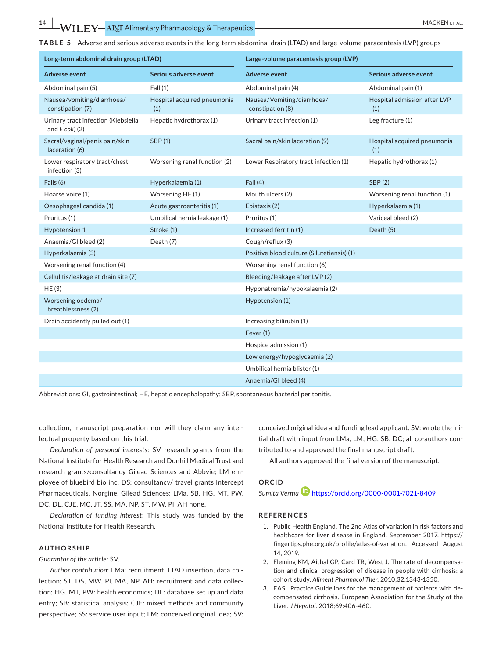**TABLE 5** Adverse and serious adverse events in the long-term abdominal drain (LTAD) and large-volume paracentesis (LVP) groups

| Long-term abdominal drain group (LTAD)                   |                                    | Large-volume paracentesis group (LVP)          |                                     |  |  |  |  |
|----------------------------------------------------------|------------------------------------|------------------------------------------------|-------------------------------------|--|--|--|--|
| <b>Adverse event</b>                                     | Serious adverse event              | <b>Adverse event</b>                           | Serious adverse event               |  |  |  |  |
| Abdominal pain (5)                                       | Fall(1)                            | Abdominal pain (4)                             | Abdominal pain (1)                  |  |  |  |  |
| Nausea/vomiting/diarrhoea/<br>constipation (7)           | Hospital acquired pneumonia<br>(1) | Nausea/Vomiting/diarrhoea/<br>constipation (8) | Hospital admission after LVP<br>(1) |  |  |  |  |
| Urinary tract infection (Klebsiella<br>and $E$ coli) (2) | Hepatic hydrothorax (1)            | Urinary tract infection (1)                    | Leg fracture (1)                    |  |  |  |  |
| Sacral/vaginal/penis pain/skin<br>laceration (6)         | SBP (1)                            | Sacral pain/skin laceration (9)                | Hospital acquired pneumonia<br>(1)  |  |  |  |  |
| Lower respiratory tract/chest<br>infection (3)           | Worsening renal function (2)       | Lower Respiratory tract infection (1)          | Hepatic hydrothorax (1)             |  |  |  |  |
| Falls (6)                                                | Hyperkalaemia (1)                  | Fall(4)                                        | SBP (2)                             |  |  |  |  |
| Hoarse voice (1)                                         | Worsening HE (1)                   | Mouth ulcers (2)                               | Worsening renal function (1)        |  |  |  |  |
| Oesophageal candida (1)                                  | Acute gastroenteritis (1)          | Epistaxis (2)                                  | Hyperkalaemia (1)                   |  |  |  |  |
| Pruritus (1)                                             | Umbilical hernia leakage (1)       | Pruritus (1)                                   | Variceal bleed (2)                  |  |  |  |  |
| Hypotension 1                                            | Stroke (1)                         | Increased ferritin (1)                         | Death (5)                           |  |  |  |  |
| Anaemia/GI bleed (2)                                     | Death (7)                          | Cough/reflux (3)                               |                                     |  |  |  |  |
| Hyperkalaemia (3)                                        |                                    | Positive blood culture (S lutetiensis) (1)     |                                     |  |  |  |  |
| Worsening renal function (4)                             |                                    | Worsening renal function (6)                   |                                     |  |  |  |  |
| Cellulitis/leakage at drain site (7)                     |                                    | Bleeding/leakage after LVP (2)                 |                                     |  |  |  |  |
| HE (3)                                                   |                                    | Hyponatremia/hypokalaemia (2)                  |                                     |  |  |  |  |
| Worsening oedema/<br>breathlessness (2)                  |                                    | Hypotension (1)                                |                                     |  |  |  |  |
| Drain accidently pulled out (1)                          |                                    | Increasing bilirubin (1)                       |                                     |  |  |  |  |
|                                                          |                                    | Fever $(1)$                                    |                                     |  |  |  |  |
|                                                          |                                    | Hospice admission (1)                          |                                     |  |  |  |  |
|                                                          |                                    | Low energy/hypoglycaemia (2)                   |                                     |  |  |  |  |
|                                                          |                                    | Umbilical hernia blister (1)                   |                                     |  |  |  |  |
|                                                          |                                    | Anaemia/GI bleed (4)                           |                                     |  |  |  |  |

Abbreviations: GI, gastrointestinal; HE, hepatic encephalopathy; SBP, spontaneous bacterial peritonitis.

 collection, manuscript preparation nor will they claim any intellectual property based on this trial.

*Declaration of personal interests*: SV research grants from the National Institute for Health Research and Dunhill Medical Trust and research grants/consultancy Gilead Sciences and Abbvie; LM employee of bluebird bio inc; DS: consultancy/ travel grants Intercept Pharmaceuticals, Norgine, Gilead Sciences; LMa, SB, HG, MT, PW, DC, DL, CJE, MC, JT, SS, MA, NP, ST, MW, PI, AH none.

*Declaration of funding interest*: This study was funded by the National Institute for Health Research.

#### **AUTHORSHIP**

*Guarantor of the article*: SV.

*Author contribution*: LMa: recruitment, LTAD insertion, data collection; ST, DS, MW, PI, MA, NP, AH: recruitment and data collection; HG, MT, PW: health economics; DL: database set up and data entry; SB: statistical analysis; CJE: mixed methods and community perspective; SS: service user input; LM: conceived original idea; SV: conceived original idea and funding lead applicant. SV: wrote the initial draft with input from LMa, LM, HG, SB, DC; all co-authors contributed to and approved the final manuscript draft.

All authors approved the final version of the manuscript.

# **ORCID**

#### *Sumita Verm[a](https://orcid.org/0000-0001-7021-8409)* <https://orcid.org/0000-0001-7021-8409>

### **REFERENCES**

- [fingertips.phe.org.uk/profile/atlas-of-variation.](https://fingertips.phe.org.uk/profile/atlas-of-variation) Accessed August 1. Public Health England. The 2nd Atlas of variation in risk factors and healthcare for liver disease in England. September 2017. [https://](https://fingertips.phe.org.uk/profile/atlas-of-variation) 14, 2019.
- 2. Fleming KM, Aithal GP, Card TR, West J. The rate of decompensation and clinical progression of disease in people with cirrhosis: a cohort study. *Aliment Pharmacol Ther*. 2010;32:1343-1350.
- 3. EASL Practice Guidelines for the management of patients with decompensated cirrhosis. European Association for the Study of the Liver. *J Hepatol*. 2018;69:406-460.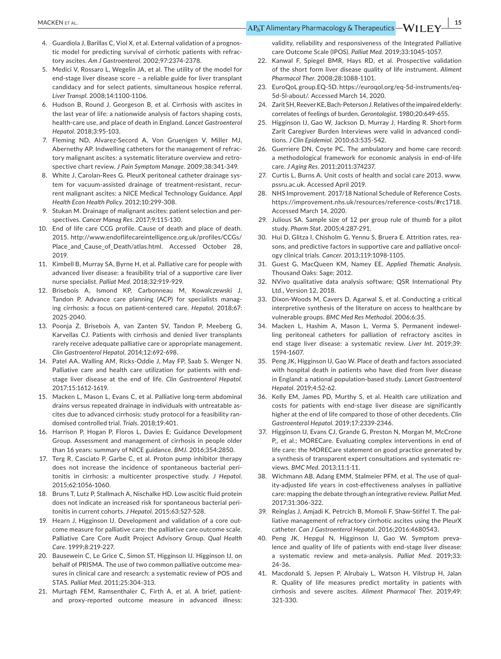- tic model for predicting survival of cirrhotic patients with refrac-4. Guardiola J, Barillas C, Viol X, et al. External validation of a prognostory ascites. *Am J Gastroenterol*. 2002;97:2374-2378.
- 5. Medici V, Rossaro L, Wegelin JA, et al. The utility of the model for end-stage liver disease score – a reliable guide for liver transplant candidacy and for select patients, simultaneous hospice referral. *Liver Transpl*. 2008;14:1100-1106.
- 6. Hudson B, Round J, Georgeson B, et al. Cirrhosis with ascites in the last year of life: a nationwide analysis of factors shaping costs, health-care use, and place of death in England. *Lancet Gastroenterol Hepatol*. 2018;3:95-103.
- 7. Fleming ND, Alvarez-Secord A, Von Gruenigen V, Miller MJ, Abernethy AP. Indwelling catheters for the management of refractory malignant ascites: a systematic literature overview and retrospective chart review. *J Pain Symptom Manage*. 2009;38:341-349.
- 8. White J, Carolan-Rees G. PleurX peritoneal catheter drainage system for vacuum-assisted drainage of treatment-resistant, recurrent malignant ascites: a NICE Medical Technology Guidance. *Appl Health Econ Health Policy*. 2012;10:299-308.
- 9. Stukan M. Drainage of malignant ascites: patient selection and perspectives. *Cancer Manag Res*. 2017;9:115-130.
- $10.$  2015. [http://www.endoflifecareintelligence.org.uk/profiles/CCGs/](http://www.endoflifecareintelligence.org.uk/profiles/CCGs/Place_and_Cause_of_Death/atlas.html) [Place\\_and\\_Cause\\_of\\_Death/atlas.html.](http://www.endoflifecareintelligence.org.uk/profiles/CCGs/Place_and_Cause_of_Death/atlas.html) Accessed October 28, End of life care CCG profile. Cause of death and place of death. 2019.
- 11. Kimbell B, Murray SA, Byrne H, et al. Palliative care for people with advanced liver disease: a feasibility trial of a supportive care liver nurse specialist. *Palliat Med*. 2018;32:919-929.
- 12. Brisebois A, Ismond KP, Carbonneau M, Kowalczewski J, Tandon P. Advance care planning (ACP) for specialists managing cirrhosis: a focus on patient-centered care. *Hepatol*. 2018;67: 2025-2040.
- 13. Poonja Z, Brisebois A, van Zanten SV, Tandon P, Meeberg G, Karvellas CJ. Patients with cirrhosis and denied liver transplants rarely receive adequate palliative care or appropriate management. *Clin Gastroenterol Hepatol*. 2014;12:692-698.
- 14. Patel AA, Walling AM, Ricks-Oddie J, May FP, Saab S, Wenger N. Palliative care and health care utilization for patients with endstage liver disease at the end of life. *Clin Gastroenterol Hepatol*. 2017;15:1612-1619.
- 15. Macken L, Mason L, Evans C, et al. Palliative long-term abdominal drains versus repeated drainage in individuals with untreatable ascites due to advanced cirrhosis: study protocol for a feasibility randomised controlled trial. *Trials*. 2018;19:401.
- 16. Harrison P, Hogan P, Floros L, Davies E; Guidance Development Group. Assessment and management of cirrhosis in people older than 16 years: summary of NICE guidance. *BMJ*. 2016;354:2850.
- 17. Terg R, Casciato P, Garbe C, et al. Proton pump inhibitor therapy does not increase the incidence of spontaneous bacterial peritonitis in cirrhosis: a multicenter prospective study. *J Hepatol*. 2015;62:1056-1060.
- 18. Bruns T, Lutz P, Stallmach A, Nischalke HD. Low ascitic fluid protein does not indicate an increased risk for spontaneous bacterial peritonitis in current cohorts. *J Hepatol*. 2015;63:527-528.
- 19. Hearn J, Higginson IJ. Development and validation of a core outcome measure for palliative care: the palliative care outcome scale. Palliative Care Core Audit Project Advisory Group. *Qual Health Care*. 1999;8:219-227.
- 20. Bausewein C, Le Grice C, Simon ST, Higginson IJ. Higginson IJ, on behalf of PRISMA. The use of two common palliative outcome measures in clinical care and research: a systematic review of POS and STAS. *Palliat Med*. 2011;25:304-313.
- 21. Murtagh FEM, Ramsenthaler C, Firth A, et al. A brief, patientand proxy-reported outcome measure in advanced illness:

validity, reliability and responsiveness of the Integrated Palliative care Outcome Scale (IPOS). *Palliat Med*. 2019;33:1045-1057.

- 22. Kanwal F, Spiegel BMR, Hays RD, et al. Prospective validation of the short form liver disease quality of life instrument. *Aliment Pharmacol Ther*. 2008;28:1088-1101.
- 23. EuroQoL group.EQ-5D. [https://euroqol.org/eq-5d-instruments/eq-](https://euroqol.org/eq-5d-instruments/eq-5d-5l-about/)[5d-5l-about/](https://euroqol.org/eq-5d-instruments/eq-5d-5l-about/). Accessed March 14, 2020.
- 24. Zarit SH, Reever KE, Bach-Peterson J. Relatives of the impaired elderly: correlates of feelings of burden. *Gerontologist*. 1980;20:649-655.
- 25. Higginson IJ, Gao W, Jackson D, Murray J, Harding R. Short-form Zarit Caregiver Burden Interviews were valid in advanced conditions. *J Clin Epidemiol*. 2010;63:535-542.
- 26. Guerriere DN, Coyte PC. The ambulatory and home care record: a methodological framework for economic analysis in end-of-life care. *J Aging Res*. 2011;2011:374237.
- 27. Curtis L, Burns A. Unit costs of health and social care 2013. [www.](http://www.pssru.ac.uk) [pssru.ac.uk](http://www.pssru.ac.uk). Accessed April 2019.
- 28. <https://improvement.nhs.uk/resources/reference-costs/#rc1718>. NHS Improvement. 2017/18 National Schedule of Reference Costs. Accessed March 14, 2020.
- 29. Julious SA. Sample size of 12 per group rule of thumb for a pilot study. *Pharm Stat*. 2005;4:287-291.
- 30. Hui D, Glitza I, Chisholm G, Yennu S, Bruera E. Attrition rates, reasons, and predictive factors in supportive care and palliative oncology clinical trials. *Cancer*. 2013;119:1098-1105.
- 31. Guest G, MacQueen KM, Namey EE. *Applied Thematic Analysis*. Thousand Oaks: Sage; 2012.
- 32. NVivo qualitative data analysis software; QSR International Pty Ltd., Version 12, 2018.
- 33. Dixon-Woods M, Cavers D, Agarwal S, et al. Conducting a critical interpretive synthesis of the literature on access to healthcare by vulnerable groups. *BMC Med Res Methodol*. 2006;6:35.
- 34. Macken L, Hashim A, Mason L, Verma S. Permanent indewelling peritoneal catheters for palliation of refractory ascites in end stage liver disease: a systematic review. *Liver Int*. 2019;39: 1594-1607.
- 35. Peng JK, Higginson IJ, Gao W. Place of death and factors associated in England: a national population-based study. *Lancet Gastroenterol*  with hospital death in patients who have died from liver disease *Hepatol*. 2019;4:52-62.
- 36. Kelly EM, James PD, Murthy S, et al. Health care utilization and costs for patients with end-stage liver disease are significantly higher at the end of life compared to those of other decedents. *Clin Gastroenterol Hepatol*. 2019;17:2339-2346.
- 37. Higginson IJ, Evans CJ, Grande G, Preston N, Morgan M, McCrone P,, et al.; MORECare. Evaluating complex interventions in end of life care: the MORECare statement on good practice generated by a synthesis of transparent expert consultations and systematic reviews. *BMC Med*. 2013;11:1-11.
- 38. Wichmann AB, Adang EMM, Stalmeier PFM, et al. The use of quality-adjusted life years in cost-effectiveness analyses in palliative care: mapping the debate through an integrative review. *Palliat Med*. 2017;31:306-322.
- 39. Reinglas J, Amjadi K, Petrcich B, Momoli F, Shaw-Stiffel T. The palliative management of refractory cirrhotic ascites using the PleurX catheter. *Can J Gastroenterol Hepatol*. 2016;2016:4680543.
- 40. Peng JK, Hepgul N, Higginson IJ, Gao W. Symptom prevalence and quality of life of patients with end-stage liver disease: a systematic review and meta-analysis. *Palliat Med*. 2019;33: 24-36.
- 41. Macdonald S, Jepsen P, Alrubaiy L, Watson H, Vilstrup H, Jalan R. Quality of life measures predict mortality in patients with cirrhosis and severe ascites. *Aliment Pharmacol Ther*. 2019;49: 321-330.